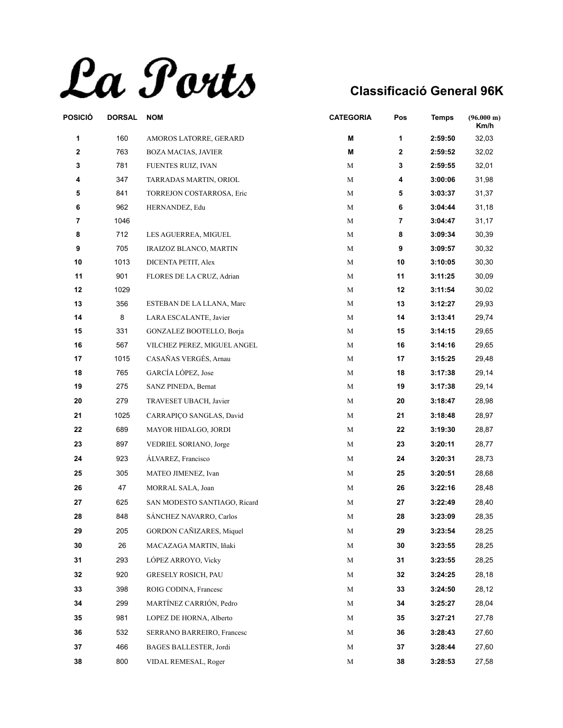La Ports

| POSICIÓ | <b>DORSAL</b> | <b>NOM</b>                     | <b>CATEGORIA</b> | Pos          | <b>Temps</b> | (96.000 m)<br>Km/h |
|---------|---------------|--------------------------------|------------------|--------------|--------------|--------------------|
| 1       | 160           | AMOROS LATORRE, GERARD         | M                | $\mathbf{1}$ | 2:59:50      | 32,03              |
| 2       | 763           | <b>BOZA MACIAS, JAVIER</b>     | M                | $\mathbf{2}$ | 2:59:52      | 32,02              |
| 3       | 781           | FUENTES RUIZ, IVAN             | М                | 3            | 2:59:55      | 32,01              |
| 4       | 347           | TARRADAS MARTIN, ORIOL         | М                | 4            | 3:00:06      | 31,98              |
| 5       | 841           | TORREJON COSTARROSA, Eric      | М                | 5            | 3:03:37      | 31,37              |
| 6       | 962           | HERNANDEZ, Edu                 | М                | 6            | 3:04:44      | 31,18              |
| 7       | 1046          |                                | М                | 7            | 3:04:47      | 31,17              |
| 8       | 712           | LES AGUERREA, MIGUEL           | М                | 8            | 3:09:34      | 30,39              |
| 9       | 705           | IRAIZOZ BLANCO, MARTIN         | М                | 9            | 3:09:57      | 30,32              |
| 10      | 1013          | DICENTA PETIT, Alex            | М                | 10           | 3:10:05      | 30,30              |
| 11      | 901           | FLORES DE LA CRUZ, Adrian      | М                | 11           | 3:11:25      | 30,09              |
| 12      | 1029          |                                | М                | 12           | 3:11:54      | 30,02              |
| 13      | 356           | ESTEBAN DE LA LLANA, Marc      | М                | 13           | 3:12:27      | 29,93              |
| 14      | 8             | LARA ESCALANTE, Javier         | М                | 14           | 3:13:41      | 29,74              |
| 15      | 331           | GONZALEZ BOOTELLO, Borja       | М                | 15           | 3:14:15      | 29,65              |
| 16      | 567           | VILCHEZ PEREZ, MIGUEL ANGEL    | М                | 16           | 3:14:16      | 29,65              |
| 17      | 1015          | CASAÑAS VERGÉS, Arnau          | М                | 17           | 3:15:25      | 29,48              |
| 18      | 765           | GARCÍA LÓPEZ, Jose             | М                | 18           | 3:17:38      | 29,14              |
| 19      | 275           | SANZ PINEDA, Bernat            | М                | 19           | 3:17:38      | 29,14              |
| 20      | 279           | TRAVESET UBACH, Javier         | M                | 20           | 3:18:47      | 28,98              |
| 21      | 1025          | CARRAPIÇO SANGLAS, David       | M                | 21           | 3:18:48      | 28,97              |
| 22      | 689           | MAYOR HIDALGO, JORDI           | M                | 22           | 3:19:30      | 28,87              |
| 23      | 897           | VEDRIEL SORIANO, Jorge         | М                | 23           | 3:20:11      | 28,77              |
| 24      | 923           | ÁLVAREZ, Francisco             | M                | 24           | 3:20:31      | 28,73              |
| 25      | 305           | MATEO JIMENEZ, Ivan            | M                | 25           | 3:20:51      | 28,68              |
| 26      | 47            | MORRAL SALA, Joan              | M                | 26           | 3:22:16      | 28,48              |
| 27      | 625           | SAN MODESTO SANTIAGO, Ricard   | М                | 27           | 3:22:49      | 28,40              |
| 28      | 848           | <b>SANCHEZ NAVARRO, Carlos</b> | M                | 28           | 3:23:09      | 28,35              |
| 29      | 205           | GORDON CAÑIZARES, Miquel       | M                | 29           | 3:23:54      | 28,25              |
| 30      | 26            | MACAZAGA MARTIN, Iñaki         | M                | 30           | 3:23:55      | 28,25              |
| 31      | 293           | LÓPEZ ARROYO, Vicky            | М                | 31           | 3:23:55      | 28,25              |
| 32      | 920           | <b>GRESELY ROSICH, PAU</b>     | M                | 32           | 3:24:25      | 28,18              |
| 33      | 398           | ROIG CODINA, Francesc          | M                | 33           | 3:24:50      | 28,12              |
| 34      | 299           | MARTÍNEZ CARRIÓN, Pedro        | M                | 34           | 3:25:27      | 28,04              |
| 35      | 981           | LOPEZ DE HORNA, Alberto        | М                | 35           | 3:27:21      | 27,78              |
| 36      | 532           | SERRANO BARREIRO, Francesc     | М                | 36           | 3:28:43      | 27,60              |
| 37      | 466           | BAGES BALLESTER, Jordi         | M                | 37           | 3:28:44      | 27,60              |
|         |               |                                |                  |              |              |                    |
| 38      | 800           | VIDAL REMESAL, Roger           | M                | 38           | 3:28:53      | 27,58              |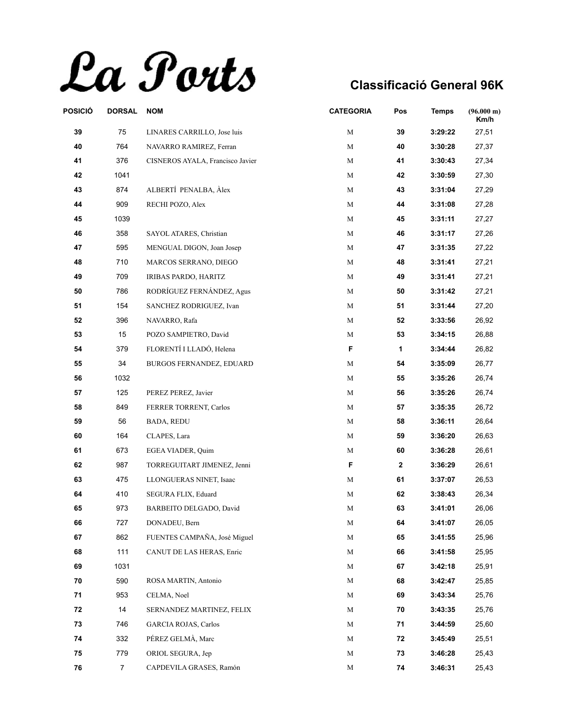La Ports

| POSICIÓ | <b>DORSAL</b>  | <b>NOM</b>                       | <b>CATEGORIA</b> | Pos          | <b>Temps</b> | $(96.000 \text{ m})$<br>Km/h |
|---------|----------------|----------------------------------|------------------|--------------|--------------|------------------------------|
| 39      | 75             | LINARES CARRILLO, Jose luis      | $\mathbf M$      | 39           | 3:29:22      | 27,51                        |
| 40      | 764            | NAVARRO RAMIREZ, Ferran          | M                | 40           | 3:30:28      | 27,37                        |
| 41      | 376            | CISNEROS AYALA, Francisco Javier | М                | 41           | 3:30:43      | 27,34                        |
| 42      | 1041           |                                  | M                | 42           | 3:30:59      | 27,30                        |
| 43      | 874            | ALBERTÍ PENALBA, Àlex            | M                | 43           | 3:31:04      | 27,29                        |
| 44      | 909            | RECHI POZO, Alex                 | M                | 44           | 3:31:08      | 27,28                        |
| 45      | 1039           |                                  | М                | 45           | 3:31:11      | 27,27                        |
| 46      | 358            | SAYOL ATARES, Christian          | M                | 46           | 3:31:17      | 27,26                        |
| 47      | 595            | MENGUAL DIGON, Joan Josep        | M                | 47           | 3:31:35      | 27,22                        |
| 48      | 710            | MARCOS SERRANO, DIEGO            | M                | 48           | 3:31:41      | 27,21                        |
| 49      | 709            | IRIBAS PARDO, HARITZ             | М                | 49           | 3:31:41      | 27,21                        |
| 50      | 786            | RODRÍGUEZ FERNÁNDEZ, Agus        | M                | 50           | 3:31:42      | 27,21                        |
| 51      | 154            | SANCHEZ RODRIGUEZ, Ivan          | M                | 51           | 3:31:44      | 27,20                        |
| 52      | 396            | NAVARRO, Rafa                    | М                | 52           | 3:33:56      | 26,92                        |
| 53      | 15             | POZO SAMPIETRO, David            | М                | 53           | 3:34:15      | 26,88                        |
| 54      | 379            | FLORENTÍ I LLADÓ, Helena         | F                | 1            | 3:34:44      | 26,82                        |
| 55      | 34             | BURGOS FERNANDEZ, EDUARD         | М                | 54           | 3:35:09      | 26,77                        |
| 56      | 1032           |                                  | М                | 55           | 3:35:26      | 26,74                        |
| 57      | 125            | PEREZ PEREZ, Javier              | М                | 56           | 3:35:26      | 26,74                        |
| 58      | 849            | FERRER TORRENT, Carlos           | М                | 57           | 3:35:35      | 26,72                        |
| 59      | 56             | <b>BADA, REDU</b>                | M                | 58           | 3:36:11      | 26,64                        |
| 60      | 164            | CLAPES, Lara                     | M                | 59           | 3:36:20      | 26,63                        |
| 61      | 673            | EGEA VIADER, Quim                | М                | 60           | 3:36:28      | 26,61                        |
| 62      | 987            | TORREGUITART JIMENEZ, Jenni      | F                | $\mathbf{2}$ | 3:36:29      | 26,61                        |
| 63      | 475            | LLONGUERAS NINET, Isaac          | М                | 61           | 3:37:07      | 26,53                        |
| 64      | 410            | SEGURA FLIX, Eduard              | M                | 62           | 3:38:43      | 26,34                        |
| 65      | 973            | BARBEITO DELGADO, David          | M                | 63           | 3:41:01      | 26,06                        |
| 66      | 727            | DONADEU, Bern                    | М                | 64           | 3:41:07      | 26,05                        |
| 67      | 862            | FUENTES CAMPAÑA, José Miguel     | M                | 65           | 3:41:55      | 25,96                        |
| 68      | 111            | CANUT DE LAS HERAS, Enric        | М                | 66           | 3:41:58      | 25,95                        |
| 69      | 1031           |                                  | М                | 67           | 3:42:18      | 25,91                        |
| 70      | 590            | ROSA MARTIN, Antonio             | М                | 68           | 3:42:47      | 25,85                        |
| 71      | 953            | CELMA, Noel                      | М                | 69           | 3:43:34      | 25,76                        |
| 72      | 14             | SERNANDEZ MARTINEZ, FELIX        | М                | 70           | 3:43:35      | 25,76                        |
| 73      | 746            | <b>GARCIA ROJAS, Carlos</b>      | М                | 71           | 3:44:59      | 25,60                        |
| 74      | 332            | PÉREZ GELMÀ, Marc                | М                | 72           | 3:45:49      | 25,51                        |
| 75      | 779            | ORIOL SEGURA, Jep                | M                | 73           | 3:46:28      | 25,43                        |
| 76      | $\overline{7}$ | CAPDEVILA GRASES, Ramón          | М                | 74           | 3:46:31      | 25,43                        |
|         |                |                                  |                  |              |              |                              |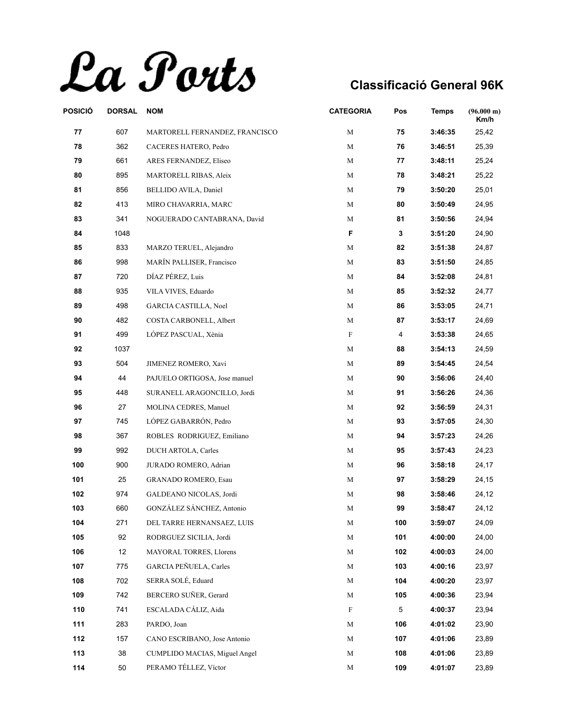La Ports

| POSICIÓ | <b>DORSAL</b> | <b>NOM</b>                     | <b>CATEGORIA</b> | Pos | <b>Temps</b> | (96.000 m)<br>Km/h |
|---------|---------------|--------------------------------|------------------|-----|--------------|--------------------|
| 77      | 607           | MARTORELL FERNANDEZ, FRANCISCO | M                | 75  | 3:46:35      | 25,42              |
| 78      | 362           | CACERES HATERO, Pedro          | $\mathbf M$      | 76  | 3:46:51      | 25,39              |
| 79      | 661           | ARES FERNANDEZ, Eliseo         | М                | 77  | 3:48:11      | 25,24              |
| 80      | 895           | MARTORELL RIBAS, Aleix         | M                | 78  | 3:48:21      | 25,22              |
| 81      | 856           | BELLIDO AVILA, Daniel          | М                | 79  | 3:50:20      | 25,01              |
| 82      | 413           | MIRO CHAVARRIA, MARC           | M                | 80  | 3:50:49      | 24,95              |
| 83      | 341           | NOGUERADO CANTABRANA, David    | М                | 81  | 3:50:56      | 24,94              |
| 84      | 1048          |                                | F                | 3   | 3:51:20      | 24,90              |
| 85      | 833           | MARZO TERUEL, Alejandro        | М                | 82  | 3:51:38      | 24,87              |
| 86      | 998           | MARÍN PALLISER, Francisco      | $\mathbf M$      | 83  | 3:51:50      | 24,85              |
| 87      | 720           | DÍAZ PÉREZ, Luis               | М                | 84  | 3:52:08      | 24,81              |
| 88      | 935           | VILA VIVES, Eduardo            | M                | 85  | 3:52:32      | 24,77              |
| 89      | 498           | <b>GARCIA CASTILLA, Noel</b>   | М                | 86  | 3:53:05      | 24,71              |
| 90      | 482           | COSTA CARBONELL, Albert        | М                | 87  | 3:53:17      | 24,69              |
| 91      | 499           | LOPEZ PASCUAL, Xènia           | $\rm F$          | 4   | 3:53:38      | 24,65              |
| 92      | 1037          |                                | М                | 88  | 3:54:13      | 24,59              |
| 93      | 504           | JIMENEZ ROMERO, Xavi           | М                | 89  | 3:54:45      | 24,54              |
| 94      | 44            | PAJUELO ORTIGOSA, Jose manuel  | $\mathbf M$      | 90  | 3:56:06      | 24,40              |
| 95      | 448           | SURANELL ARAGONCILLO, Jordi    | М                | 91  | 3:56:26      | 24,36              |
| 96      | 27            | MOLINA CEDRES, Manuel          | M                | 92  | 3:56:59      | 24,31              |
| 97      | 745           | LÓPEZ GABARRÓN, Pedro          | М                | 93  | 3:57:05      | 24,30              |
| 98      | 367           | ROBLES RODRIGUEZ, Emiliano     | M                | 94  | 3:57:23      | 24,26              |
| 99      | 992           | DUCH ARTOLA, Carles            | М                | 95  | 3:57:43      | 24,23              |
| 100     | 900           | JURADO ROMERO, Adrian          | М                | 96  | 3:58:18      | 24,17              |
| 101     | 25            | GRANADO ROMERO, Esau           | M                | 97  | 3:58:29      | 24,15              |
| 102     | 974           | GALDEANO NICOLAS, Jordi        | М                | 98  | 3:58:46      | 24,12              |
| 103     | 660           | GONZÁLEZ SÁNCHEZ, Antonio      | М                | 99  | 3:58:47      | 24,12              |
| 104     | 271           | DEL TARRE HERNANSAEZ, LUIS     | M                | 100 | 3:59:07      | 24,09              |
| 105     | 92            | RODRGUEZ SICILIA, Jordi        | М                | 101 | 4:00:00      | 24,00              |
| 106     | 12            | MAYORAL TORRES, Llorens        | M                | 102 | 4:00:03      | 24,00              |
| 107     | 775           | GARCIA PEÑUELA, Carles         | М                | 103 | 4:00:16      | 23,97              |
| 108     | 702           | SERRA SOLÉ, Eduard             | М                | 104 | 4:00:20      | 23,97              |
| 109     | 742           | BERCERO SUÑER, Gerard          | М                | 105 | 4:00:36      | 23,94              |
| 110     | 741           | ESCALADA CÁLIZ, Aida           | F                | 5   | 4:00:37      | 23,94              |
| 111     | 283           | PARDO, Joan                    | М                | 106 | 4:01:02      | 23,90              |
| 112     | 157           | CANO ESCRIBANO, Jose Antonio   | M                | 107 | 4:01:06      | 23,89              |
| 113     | 38            | CUMPLIDO MACIAS, Miguel Angel  | М                | 108 | 4:01:06      | 23,89              |
| 114     | 50            | PERAMO TÉLLEZ, Víctor          | М                | 109 | 4:01:07      | 23,89              |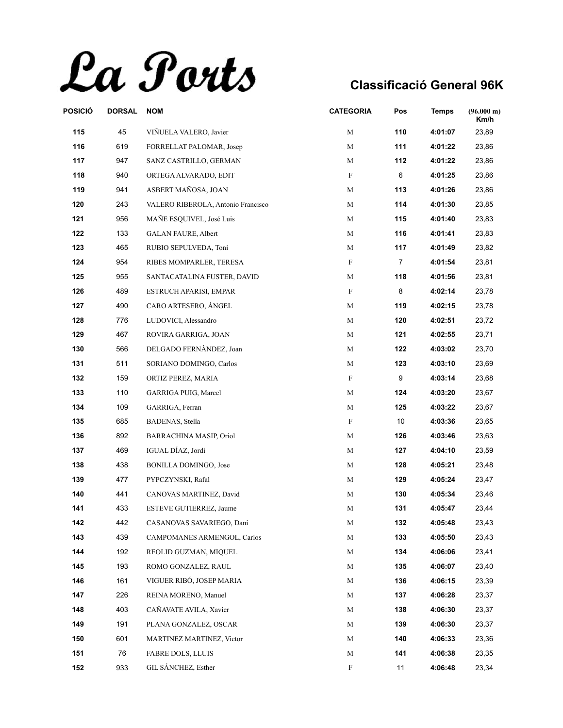La Ports

| POSICIÓ | <b>DORSAL</b> | <b>NOM</b>                         | <b>CATEGORIA</b> | Pos            | <b>Temps</b> | (96.000 m)<br>Km/h |
|---------|---------------|------------------------------------|------------------|----------------|--------------|--------------------|
| 115     | 45            | VIÑUELA VALERO, Javier             | М                | 110            | 4:01:07      | 23,89              |
| 116     | 619           | FORRELLAT PALOMAR, Josep           | М                | 111            | 4:01:22      | 23,86              |
| 117     | 947           | SANZ CASTRILLO, GERMAN             | М                | 112            | 4:01:22      | 23,86              |
| 118     | 940           | ORTEGA ALVARADO, EDIT              | F                | 6              | 4:01:25      | 23,86              |
| 119     | 941           | ASBERT MAÑOSA, JOAN                | М                | 113            | 4:01:26      | 23,86              |
| 120     | 243           | VALERO RIBEROLA, Antonio Francisco | M                | 114            | 4:01:30      | 23,85              |
| 121     | 956           | MAÑE ESQUIVEL, José Luis           | М                | 115            | 4:01:40      | 23,83              |
| 122     | 133           | <b>GALAN FAURE, Albert</b>         | М                | 116            | 4:01:41      | 23,83              |
| 123     | 465           | RUBIO SEPULVEDA, Toni              | М                | 117            | 4:01:49      | 23,82              |
| 124     | 954           | RIBES MOMPARLER, TERESA            | F                | $\overline{7}$ | 4:01:54      | 23,81              |
| 125     | 955           | SANTACATALINA FUSTER, DAVID        | M                | 118            | 4:01:56      | 23,81              |
| 126     | 489           | ESTRUCH APARISI, EMPAR             | F                | 8              | 4:02:14      | 23,78              |
| 127     | 490           | CARO ARTESERO, ÁNGEL               | М                | 119            | 4:02:15      | 23,78              |
| 128     | 776           | LUDOVICI, Alessandro               | М                | 120            | 4:02:51      | 23,72              |
| 129     | 467           | ROVIRA GARRIGA, JOAN               | M                | 121            | 4:02:55      | 23,71              |
| 130     | 566           | DELGADO FERNÀNDEZ, Joan            | М                | 122            | 4:03:02      | 23,70              |
| 131     | 511           | SORIANO DOMINGO, Carlos            | М                | 123            | 4:03:10      | 23,69              |
| 132     | 159           | ORTIZ PEREZ, MARIA                 | F                | 9              | 4:03:14      | 23,68              |
| 133     | 110           | GARRIGA PUIG, Marcel               | M                | 124            | 4:03:20      | 23,67              |
| 134     | 109           | GARRIGA, Ferran                    | М                | 125            | 4:03:22      | 23,67              |
| 135     | 685           | <b>BADENAS, Stella</b>             | F                | 10             | 4:03:36      | 23,65              |
| 136     | 892           | BARRACHINA MASIP, Oriol            | М                | 126            | 4:03:46      | 23,63              |
| 137     | 469           | IGUAL DÍAZ, Jordi                  | М                | 127            | 4:04:10      | 23,59              |
| 138     | 438           | <b>BONILLA DOMINGO, Jose</b>       | М                | 128            | 4:05:21      | 23,48              |
| 139     | 477           | PYPCZYNSKI, Rafal                  | М                | 129            | 4:05:24      | 23,47              |
| 140     | 441           | CANOVAS MARTINEZ, David            | М                | 130            | 4:05:34      | 23,46              |
| 141     | 433           | ESTEVE GUTIERREZ, Jaume            | М                | 131            | 4:05:47      | 23,44              |
| 142     | 442           | CASANOVAS SAVARIEGO, Dani          | М                | 132            | 4:05:48      | 23,43              |
| 143     | 439           | CAMPOMANES ARMENGOL, Carlos        | М                | 133            | 4:05:50      | 23,43              |
| 144     | 192           | REOLID GUZMAN, MIQUEL              | М                | 134            | 4:06:06      | 23,41              |
| 145     | 193           | ROMO GONZALEZ, RAUL                | М                | 135            | 4:06:07      | 23,40              |
| 146     | 161           | VIGUER RIBÓ, JOSEP MARIA           | М                | 136            | 4:06:15      | 23,39              |
| 147     | 226           | REINA MORENO, Manuel               | М                | 137            | 4:06:28      | 23,37              |
| 148     | 403           | CAÑAVATE AVILA, Xavier             | М                | 138            | 4:06:30      | 23,37              |
| 149     | 191           | PLANA GONZALEZ, OSCAR              | М                | 139            | 4:06:30      | 23,37              |
| 150     | 601           | <b>MARTINEZ MARTINEZ, Victor</b>   | М                | 140            | 4:06:33      | 23,36              |
| 151     | 76            | <b>FABRE DOLS, LLUIS</b>           | М                | 141            | 4:06:38      | 23,35              |
| 152     | 933           | GIL SÁNCHEZ, Esther                | F                | 11             | 4:06:48      | 23,34              |
|         |               |                                    |                  |                |              |                    |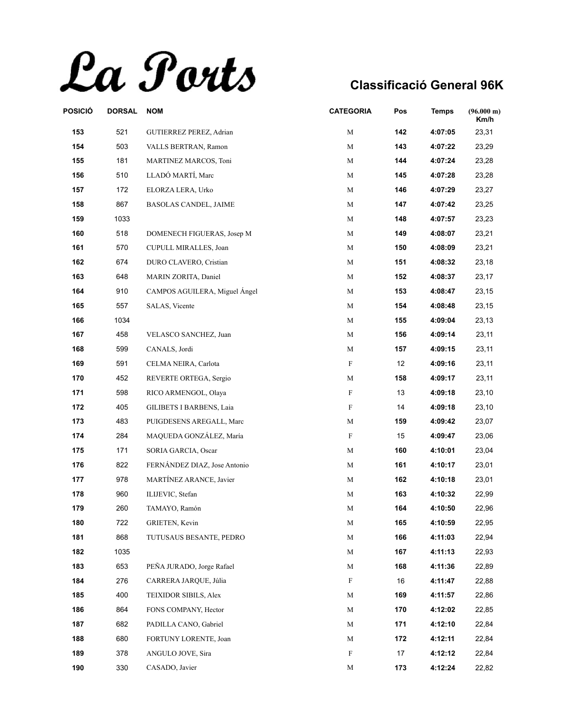La Ports

| POSICIÓ | <b>DORSAL</b> | <b>NOM</b>                    | <b>CATEGORIA</b> | Pos | <b>Temps</b> | $(96.000 \text{ m})$<br>Km/h |
|---------|---------------|-------------------------------|------------------|-----|--------------|------------------------------|
| 153     | 521           | GUTIERREZ PEREZ, Adrian       | М                | 142 | 4:07:05      | 23,31                        |
| 154     | 503           | VALLS BERTRAN, Ramon          | М                | 143 | 4:07:22      | 23,29                        |
| 155     | 181           | MARTINEZ MARCOS, Toni         | M                | 144 | 4:07:24      | 23,28                        |
| 156     | 510           | LLADÓ MARTÍ, Marc             | М                | 145 | 4:07:28      | 23,28                        |
| 157     | 172           | ELORZA LERA, Urko             | М                | 146 | 4:07:29      | 23,27                        |
| 158     | 867           | <b>BASOLAS CANDEL, JAIME</b>  | М                | 147 | 4:07:42      | 23,25                        |
| 159     | 1033          |                               | М                | 148 | 4:07:57      | 23,23                        |
| 160     | 518           | DOMENECH FIGUERAS, Josep M    | М                | 149 | 4:08:07      | 23,21                        |
| 161     | 570           | CUPULL MIRALLES, Joan         | М                | 150 | 4:08:09      | 23,21                        |
| 162     | 674           | DURO CLAVERO, Cristian        | М                | 151 | 4:08:32      | 23,18                        |
| 163     | 648           | MARIN ZORITA, Daniel          | М                | 152 | 4:08:37      | 23,17                        |
| 164     | 910           | CAMPOS AGUILERA, Miguel Ángel | М                | 153 | 4:08:47      | 23,15                        |
| 165     | 557           | SALAS, Vicente                | M                | 154 | 4:08:48      | 23,15                        |
| 166     | 1034          |                               | М                | 155 | 4:09:04      | 23,13                        |
| 167     | 458           | VELASCO SANCHEZ, Juan         | М                | 156 | 4:09:14      | 23,11                        |
| 168     | 599           | CANALS, Jordi                 | M                | 157 | 4:09:15      | 23,11                        |
| 169     | 591           | CELMA NEIRA, Carlota          | F                | 12  | 4:09:16      | 23,11                        |
| 170     | 452           | REVERTE ORTEGA, Sergio        | М                | 158 | 4:09:17      | 23,11                        |
| 171     | 598           | RICO ARMENGOL, Olaya          | F                | 13  | 4:09:18      | 23,10                        |
| 172     | 405           | GILIBETS I BARBENS, Laia      | F                | 14  | 4:09:18      | 23,10                        |
| 173     | 483           | PUIGDESENS AREGALL, Marc      | М                | 159 | 4:09:42      | 23,07                        |
| 174     | 284           | MAQUEDA GONZÁLEZ, María       | F                | 15  | 4:09:47      | 23,06                        |
| 175     | 171           | SORIA GARCIA, Oscar           | М                | 160 | 4:10:01      | 23,04                        |
| 176     | 822           | FERNÁNDEZ DIAZ, Jose Antonio  | М                | 161 | 4:10:17      | 23,01                        |
| 177     | 978           | MARTÍNEZ ARANCE, Javier       | М                | 162 | 4:10:18      | 23,01                        |
| 178     | 960           | ILIJEVIC, Stefan              | М                | 163 | 4:10:32      | 22,99                        |
| 179     | 260           | TAMAYO, Ramón                 | М                | 164 | 4:10:50      | 22,96                        |
| 180     | 722           | <b>GRIETEN, Kevin</b>         | М                | 165 | 4:10:59      | 22,95                        |
| 181     | 868           | TUTUSAUS BESANTE, PEDRO       | M                | 166 | 4:11:03      | 22,94                        |
| 182     | 1035          |                               | М                | 167 | 4:11:13      | 22,93                        |
| 183     | 653           | PEÑA JURADO, Jorge Rafael     | М                | 168 | 4:11:36      | 22,89                        |
| 184     | 276           | CARRERA JAROUE, Júlia         | F                | 16  | 4:11:47      | 22,88                        |
| 185     | 400           | <b>TEIXIDOR SIBILS, Alex</b>  | М                | 169 | 4:11:57      | 22,86                        |
| 186     | 864           | FONS COMPANY, Hector          | М                | 170 | 4:12:02      | 22,85                        |
| 187     | 682           | PADILLA CANO, Gabriel         | М                | 171 | 4:12:10      | 22,84                        |
| 188     | 680           | FORTUNY LORENTE, Joan         | М                | 172 | 4:12:11      | 22,84                        |
| 189     | 378           | ANGULO JOVE, Sira             | F                | 17  | 4:12:12      | 22,84                        |
| 190     | 330           | CASADO, Javier                | М                | 173 | 4:12:24      | 22,82                        |
|         |               |                               |                  |     |              |                              |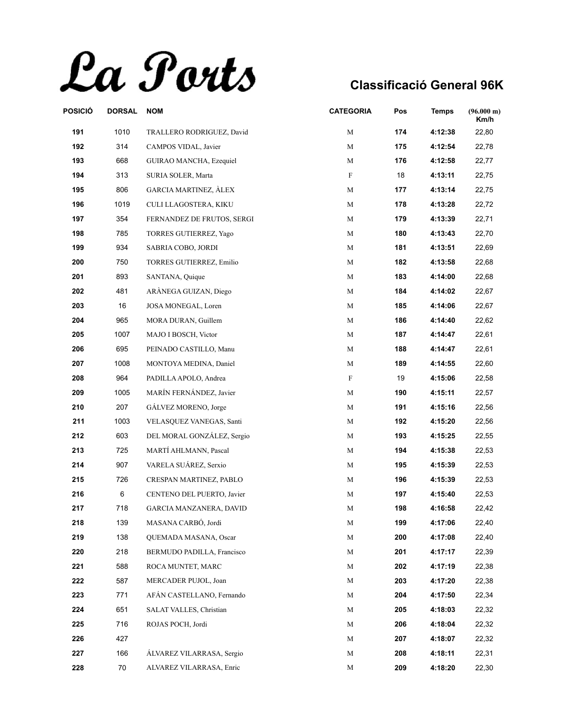La Ports

| POSICIÓ | <b>DORSAL</b> | <b>NOM</b>                     | <b>CATEGORIA</b> | Pos | <b>Temps</b> | (96.000 m)<br>Km/h |
|---------|---------------|--------------------------------|------------------|-----|--------------|--------------------|
| 191     | 1010          | TRALLERO RODRIGUEZ, David      | М                | 174 | 4:12:38      | 22,80              |
| 192     | 314           | CAMPOS VIDAL, Javier           | $\mathbf M$      | 175 | 4:12:54      | 22,78              |
| 193     | 668           | GUIRAO MANCHA, Ezequiel        | М                | 176 | 4:12:58      | 22,77              |
| 194     | 313           | SURIA SOLER, Marta             | F                | 18  | 4:13:11      | 22,75              |
| 195     | 806           | <b>GARCIA MARTINEZ, ALEX</b>   | М                | 177 | 4:13:14      | 22,75              |
| 196     | 1019          | CULI LLAGOSTERA, KIKU          | M                | 178 | 4:13:28      | 22,72              |
| 197     | 354           | FERNANDEZ DE FRUTOS, SERGI     | М                | 179 | 4:13:39      | 22,71              |
| 198     | 785           | TORRES GUTIERREZ, Yago         | М                | 180 | 4:13:43      | 22,70              |
| 199     | 934           | SABRIA COBO, JORDI             | M                | 181 | 4:13:51      | 22,69              |
| 200     | 750           | TORRES GUTIERREZ, Emilio       | М                | 182 | 4:13:58      | 22,68              |
| 201     | 893           | SANTANA, Quique                | М                | 183 | 4:14:00      | 22,68              |
| 202     | 481           | ARÀNEGA GUIZAN, Diego          | M                | 184 | 4:14:02      | 22,67              |
| 203     | 16            | JOSA MONEGAL, Loren            | М                | 185 | 4:14:06      | 22,67              |
| 204     | 965           | MORA DURAN, Guillem            | М                | 186 | 4:14:40      | 22,62              |
| 205     | 1007          | MAJO I BOSCH, Victor           | М                | 187 | 4:14:47      | 22,61              |
| 206     | 695           | PEINADO CASTILLO, Manu         | М                | 188 | 4:14:47      | 22,61              |
| 207     | 1008          | MONTOYA MEDINA, Daniel         | М                | 189 | 4:14:55      | 22,60              |
| 208     | 964           | PADILLA APOLO, Andrea          | F                | 19  | 4:15:06      | 22,58              |
| 209     | 1005          | MARÍN FERNÁNDEZ, Javier        | М                | 190 | 4:15:11      | 22,57              |
| 210     | 207           | GÁLVEZ MORENO, Jorge           | M                | 191 | 4:15:16      | 22,56              |
| 211     | 1003          | VELASQUEZ VANEGAS, Santi       | М                | 192 | 4:15:20      | 22,56              |
| 212     | 603           | DEL MORAL GONZÁLEZ, Sergio     | M                | 193 | 4:15:25      | 22,55              |
| 213     | 725           | MARTÍ AHLMANN, Pascal          | М                | 194 | 4:15:38      | 22,53              |
| 214     | 907           | VARELA SUÁREZ, Serxio          | М                | 195 | 4:15:39      | 22,53              |
| 215     | 726           | CRESPAN MARTINEZ, PABLO        | M                | 196 | 4:15:39      | 22,53              |
| 216     | 6             | CENTENO DEL PUERTO, Javier     | М                | 197 | 4:15:40      | 22,53              |
| 217     | 718           | <b>GARCIA MANZANERA, DAVID</b> | М                | 198 | 4:16:58      | 22,42              |
| 218     | 139           | MASANA CARBÓ, Jordi            | М                | 199 | 4:17:06      | 22,40              |
| 219     | 138           | <b>OUEMADA MASANA, Oscar</b>   | М                | 200 | 4:17:08      | 22,40              |
| 220     | 218           | BERMUDO PADILLA, Francisco     | М                | 201 | 4:17:17      | 22,39              |
| 221     | 588           | ROCA MUNTET, MARC              | М                | 202 | 4:17:19      | 22,38              |
| 222     | 587           | MERCADER PUJOL, Joan           | М                | 203 | 4:17:20      | 22,38              |
| 223     | 771           | AFAN CASTELLANO, Fernando      | М                | 204 | 4:17:50      | 22,34              |
| 224     | 651           | SALAT VALLES, Christian        | М                | 205 | 4:18:03      | 22,32              |
| 225     | 716           | ROJAS POCH, Jordi              | М                | 206 | 4:18:04      | 22,32              |
| 226     | 427           |                                | М                | 207 | 4:18:07      | 22,32              |
| 227     | 166           | ÁLVAREZ VILARRASA, Sergio      | М                | 208 | 4:18:11      | 22,31              |
| 228     | 70            | ALVAREZ VILARRASA, Enric       | М                | 209 | 4:18:20      | 22,30              |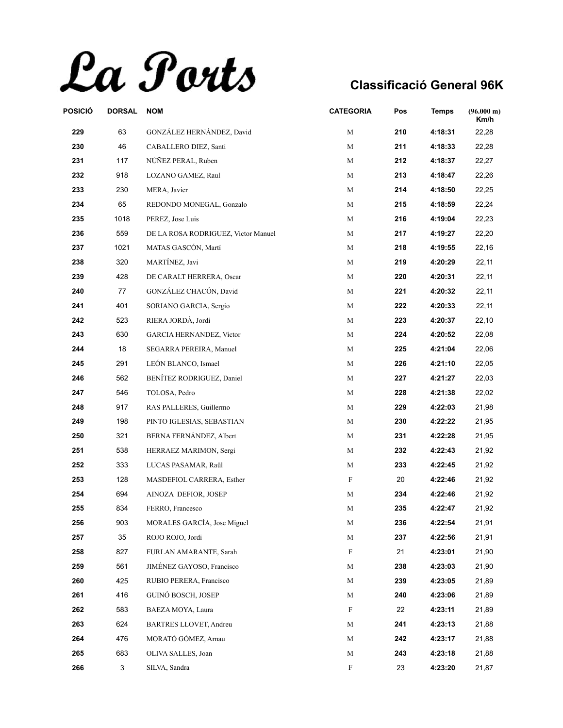La Ports

| POSICIÓ | <b>DORSAL</b> | <b>NOM</b>                          | <b>CATEGORIA</b> | Pos | <b>Temps</b> | (96.000 m)<br>Km/h |
|---------|---------------|-------------------------------------|------------------|-----|--------------|--------------------|
| 229     | 63            | GONZÁLEZ HERNÁNDEZ, David           | М                | 210 | 4:18:31      | 22,28              |
| 230     | 46            | CABALLERO DIEZ, Santi               | M                | 211 | 4:18:33      | 22,28              |
| 231     | 117           | NÚÑEZ PERAL, Ruben                  | М                | 212 | 4:18:37      | 22,27              |
| 232     | 918           | LOZANO GAMEZ, Raul                  | М                | 213 | 4:18:47      | 22,26              |
| 233     | 230           | MERA, Javier                        | М                | 214 | 4:18:50      | 22,25              |
| 234     | 65            | REDONDO MONEGAL, Gonzalo            | M                | 215 | 4:18:59      | 22,24              |
| 235     | 1018          | PEREZ, Jose Luis                    | М                | 216 | 4:19:04      | 22,23              |
| 236     | 559           | DE LA ROSA RODRIGUEZ, Victor Manuel | М                | 217 | 4:19:27      | 22,20              |
| 237     | 1021          | MATAS GASCÓN, Martí                 | М                | 218 | 4:19:55      | 22,16              |
| 238     | 320           | MARTÍNEZ, Javi                      | М                | 219 | 4:20:29      | 22,11              |
| 239     | 428           | DE CARALT HERRERA, Oscar            | М                | 220 | 4:20:31      | 22,11              |
| 240     | 77            | GONZÁLEZ CHACÓN, David              | M                | 221 | 4:20:32      | 22,11              |
| 241     | 401           | SORIANO GARCIA, Sergio              | М                | 222 | 4:20:33      | 22,11              |
| 242     | 523           | RIERA JORDÀ, Jordi                  | М                | 223 | 4:20:37      | 22,10              |
| 243     | 630           | GARCIA HERNANDEZ, Victor            | M                | 224 | 4:20:52      | 22,08              |
| 244     | 18            | SEGARRA PEREIRA, Manuel             | М                | 225 | 4:21:04      | 22,06              |
| 245     | 291           | LEÓN BLANCO, Ismael                 | М                | 226 | 4:21:10      | 22,05              |
| 246     | 562           | BENÍTEZ RODRIGUEZ, Daniel           | М                | 227 | 4:21:27      | 22,03              |
| 247     | 546           | TOLOSA, Pedro                       | М                | 228 | 4:21:38      | 22,02              |
| 248     | 917           | RAS PALLERES, Guillermo             | М                | 229 | 4:22:03      | 21,98              |
| 249     | 198           | PINTO IGLESIAS, SEBASTIAN           | М                | 230 | 4:22:22      | 21,95              |
| 250     | 321           | BERNA FERNÁNDEZ, Albert             | M                | 231 | 4:22:28      | 21,95              |
| 251     | 538           | HERRAEZ MARIMON, Sergi              | М                | 232 | 4:22:43      | 21,92              |
| 252     | 333           | LUCAS PASAMAR, Raül                 | М                | 233 | 4:22:45      | 21,92              |
| 253     | 128           | MASDEFIOL CARRERA, Esther           | F                | 20  | 4:22:46      | 21,92              |
| 254     | 694           | AINOZA DEFIOR, JOSEP                | М                | 234 | 4:22:46      | 21,92              |
| 255     | 834           | FERRO, Francesco                    | М                | 235 | 4:22:47      | 21,92              |
| 256     | 903           | MORALES GARCÍA, Jose Miguel         | М                | 236 | 4:22:54      | 21,91              |
| 257     | 35            | ROJO ROJO, Jordi                    | М                | 237 | 4:22:56      | 21,91              |
| 258     | 827           | FURLAN AMARANTE, Sarah              | F                | 21  | 4:23:01      | 21,90              |
| 259     | 561           | JIMÉNEZ GAYOSO, Francisco           | М                | 238 | 4:23:03      | 21,90              |
| 260     | 425           | RUBIO PERERA, Francisco             | М                | 239 | 4:23:05      | 21,89              |
| 261     | 416           | GUINÓ BOSCH, JOSEP                  | М                | 240 | 4:23:06      | 21,89              |
| 262     | 583           | BAEZA MOYA, Laura                   | F                | 22  | 4:23:11      | 21,89              |
| 263     | 624           | <b>BARTRES LLOVET, Andreu</b>       | М                | 241 | 4:23:13      | 21,88              |
| 264     | 476           | MORATÓ GÓMEZ, Arnau                 | М                | 242 | 4:23:17      | 21,88              |
| 265     | 683           | OLIVA SALLES, Joan                  | М                | 243 | 4:23:18      | 21,88              |
| 266     | 3             | SILVA, Sandra                       | F                | 23  | 4:23:20      | 21,87              |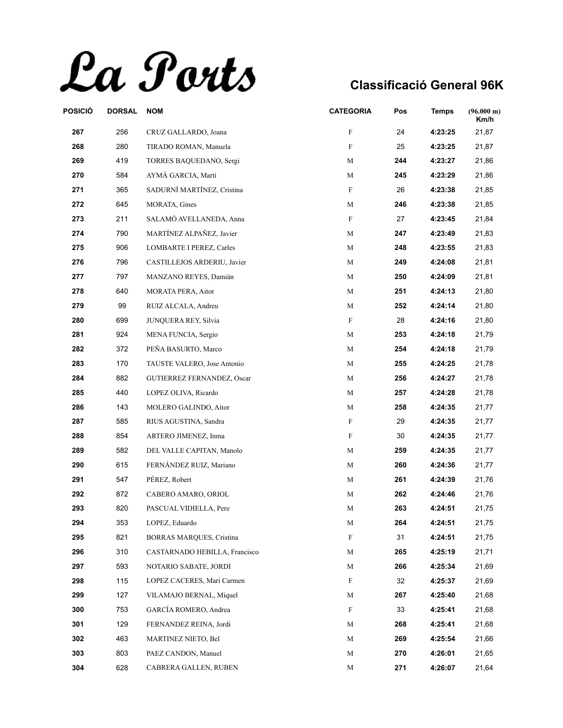La Ports

| POSICIÓ | <b>DORSAL</b> | <b>NOM</b>                        | <b>CATEGORIA</b> | Pos | Temps   | (96.000 m)<br>Km/h |
|---------|---------------|-----------------------------------|------------------|-----|---------|--------------------|
| 267     | 256           | CRUZ GALLARDO, Joana              | F                | 24  | 4:23:25 | 21,87              |
| 268     | 280           | TIRADO ROMAN, Manuela             | F                | 25  | 4:23:25 | 21,87              |
| 269     | 419           | TORRES BAQUEDANO, Sergi           | М                | 244 | 4:23:27 | 21,86              |
| 270     | 584           | AYMÀ GARCIA, Martí                | М                | 245 | 4:23:29 | 21,86              |
| 271     | 365           | SADURNÍ MARTÍNEZ, Cristina        | F                | 26  | 4:23:38 | 21,85              |
| 272     | 645           | <b>MORATA, Gines</b>              | М                | 246 | 4:23:38 | 21,85              |
| 273     | 211           | SALAMÓ AVELLANEDA, Anna           | F                | 27  | 4:23:45 | 21,84              |
| 274     | 790           | MARTÍNEZ ALPAÑEZ, Javier          | М                | 247 | 4:23:49 | 21,83              |
| 275     | 906           | <b>LOMBARTE I PEREZ, Carles</b>   | М                | 248 | 4:23:55 | 21,83              |
| 276     | 796           | CASTILLEJOS ARDERIU, Javier       | М                | 249 | 4:24:08 | 21,81              |
| 277     | 797           | MANZANO REYES, Damián             | М                | 250 | 4:24:09 | 21,81              |
| 278     | 640           | <b>MORATA PERA, Aitor</b>         | М                | 251 | 4:24:13 | 21,80              |
| 279     | 99            | RUIZ ALCALA, Andreu               | М                | 252 | 4:24:14 | 21,80              |
| 280     | 699           | JUNQUERA REY, Silvia              | F                | 28  | 4:24:16 | 21,80              |
| 281     | 924           | MENA FUNCIA, Sergio               | М                | 253 | 4:24:18 | 21,79              |
| 282     | 372           | PEÑA BASURTO, Marco               | М                | 254 | 4:24:18 | 21,79              |
| 283     | 170           | TAUSTE VALERO, Jose Antonio       | М                | 255 | 4:24:25 | 21,78              |
| 284     | 882           | <b>GUTIERREZ FERNANDEZ, Oscar</b> | М                | 256 | 4:24:27 | 21,78              |
| 285     | 440           | LOPEZ OLIVA, Ricardo              | М                | 257 | 4:24:28 | 21,78              |
| 286     | 143           | MOLERO GALINDO, Aitor             | М                | 258 | 4:24:35 | 21,77              |
| 287     | 585           | RIUS AGUSTINA, Sandra             | F                | 29  | 4:24:35 | 21,77              |
| 288     | 854           | ARTERO JIMENEZ, Inma              | F                | 30  | 4:24:35 | 21,77              |
| 289     | 582           | DEL VALLE CAPITAN, Manolo         | М                | 259 | 4:24:35 | 21,77              |
| 290     | 615           | FERNÁNDEZ RUIZ, Mariano           | М                | 260 | 4:24:36 | 21,77              |
| 291     | 547           | PÉREZ, Robert                     | М                | 261 | 4:24:39 | 21,76              |
| 292     | 872           | CABERO AMARO, ORIOL               | М                | 262 | 4:24:46 | 21,76              |
| 293     | 820           | PASCUAL VIDIELLA, Pere            | М                | 263 | 4:24:51 | 21,75              |
| 294     | 353           | LOPEZ, Eduardo                    | M                | 264 | 4:24:51 | 21,75              |
| 295     | 821           | BORRAS MARQUES, Cristina          | F                | 31  | 4:24:51 | 21,75              |
| 296     | 310           | CASTARNADO HEBILLA, Francisco     | М                | 265 | 4:25:19 | 21,71              |
| 297     | 593           | NOTARIO SABATE, JORDI             | М                | 266 | 4:25:34 | 21,69              |
| 298     | 115           | LOPEZ CACERES, Mari Carmen        | F                | 32  | 4:25:37 | 21,69              |
| 299     | 127           | VILAMAJO BERNAL, Miquel           | М                | 267 | 4:25:40 | 21,68              |
| 300     | 753           | GARCÍA ROMERO, Andrea             | F                | 33  | 4:25:41 | 21,68              |
| 301     | 129           | FERNANDEZ REINA, Jordi            | М                | 268 | 4:25:41 | 21,68              |
| 302     | 463           | MARTINEZ NIETO, Bel               | M                | 269 | 4:25:54 | 21,66              |
| 303     | 803           | PAEZ CANDON, Manuel               | М                | 270 | 4:26:01 | 21,65              |
| 304     | 628           | CABRERA GALLEN, RUBEN             | М                | 271 | 4:26:07 | 21,64              |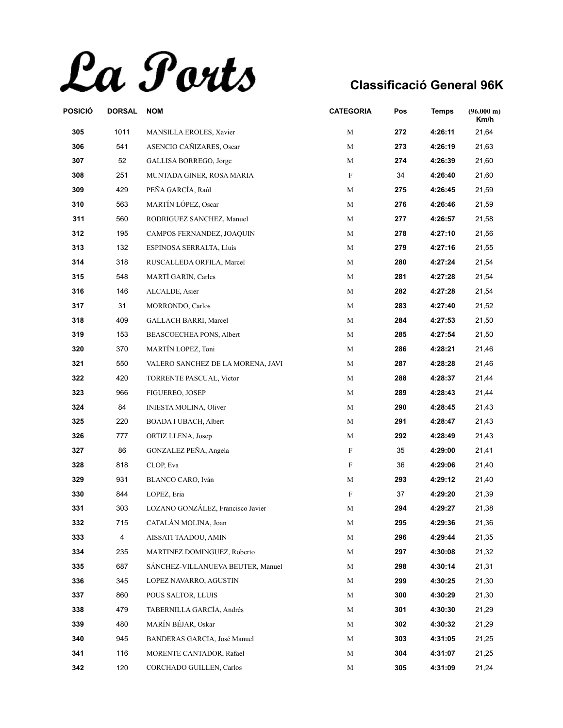La Ports

| POSICIÓ | <b>DORSAL</b> | <b>NOM</b>                        | <b>CATEGORIA</b> | Pos | <b>Temps</b> | $(96.000 \text{ m})$<br>Km/h |
|---------|---------------|-----------------------------------|------------------|-----|--------------|------------------------------|
| 305     | 1011          | MANSILLA EROLES, Xavier           | М                | 272 | 4:26:11      | 21,64                        |
| 306     | 541           | ASENCIO CAÑIZARES, Oscar          | М                | 273 | 4:26:19      | 21,63                        |
| 307     | 52            | GALLISA BORREGO, Jorge            | M                | 274 | 4:26:39      | 21,60                        |
| 308     | 251           | MUNTADA GINER, ROSA MARIA         | F                | 34  | 4:26:40      | 21,60                        |
| 309     | 429           | PEÑA GARCÍA, Raúl                 | M                | 275 | 4:26:45      | 21,59                        |
| 310     | 563           | MARTÍN LÓPEZ, Oscar               | M                | 276 | 4:26:46      | 21,59                        |
| 311     | 560           | RODRIGUEZ SANCHEZ, Manuel         | M                | 277 | 4:26:57      | 21,58                        |
| 312     | 195           | CAMPOS FERNANDEZ, JOAQUIN         | M                | 278 | 4:27:10      | 21,56                        |
| 313     | 132           | ESPINOSA SERRALTA, Lluís          | M                | 279 | 4:27:16      | 21,55                        |
| 314     | 318           | RUSCALLEDA ORFILA, Marcel         | М                | 280 | 4:27:24      | 21,54                        |
| 315     | 548           | MARTÍ GARIN, Carles               | M                | 281 | 4:27:28      | 21,54                        |
| 316     | 146           | ALCALDE, Asier                    | M                | 282 | 4:27:28      | 21,54                        |
| 317     | 31            | MORRONDO, Carlos                  | М                | 283 | 4:27:40      | 21,52                        |
| 318     | 409           | GALLACH BARRI, Marcel             | М                | 284 | 4:27:53      | 21,50                        |
| 319     | 153           | BEASCOECHEA PONS, Albert          | M                | 285 | 4:27:54      | 21,50                        |
| 320     | 370           | MARTÍN LOPEZ, Toni                | M                | 286 | 4:28:21      | 21,46                        |
| 321     | 550           | VALERO SANCHEZ DE LA MORENA, JAVI | М                | 287 | 4:28:28      | 21,46                        |
| 322     | 420           | TORRENTE PASCUAL, Victor          | M                | 288 | 4:28:37      | 21,44                        |
| 323     | 966           | <b>FIGUEREO, JOSEP</b>            | M                | 289 | 4:28:43      | 21,44                        |
| 324     | 84            | <b>INIESTA MOLINA, Oliver</b>     | M                | 290 | 4:28:45      | 21,43                        |
| 325     | 220           | <b>BOADA I UBACH, Albert</b>      | M                | 291 | 4:28:47      | 21,43                        |
| 326     | 777           | ORTIZ LLENA, Josep                | M                | 292 | 4:28:49      | 21,43                        |
| 327     | 86            | GONZALEZ PEÑA, Angela             | F                | 35  | 4:29:00      | 21,41                        |
| 328     | 818           | CLOP, Eva                         | F                | 36  | 4:29:06      | 21,40                        |
| 329     | 931           | BLANCO CARO, Iván                 | М                | 293 | 4:29:12      | 21,40                        |
| 330     | 844           | LOPEZ, Eria                       | F                | 37  | 4:29:20      | 21,39                        |
| 331     | 303           | LOZANO GONZÁLEZ, Francisco Javier | М                | 294 | 4:29:27      | 21,38                        |
| 332     | 715           | CATALÁN MOLINA, Joan              | М                | 295 | 4:29:36      | 21,36                        |
| 333     | 4             | AISSATI TAADOU, AMIN              | M                | 296 | 4:29:44      | 21,35                        |
| 334     | 235           | MARTINEZ DOMINGUEZ, Roberto       | M                | 297 | 4:30:08      | 21,32                        |
| 335     | 687           | SÁNCHEZ-VILLANUEVA BEUTER, Manuel | M                | 298 | 4:30:14      | 21,31                        |
| 336     | 345           | LOPEZ NAVARRO, AGUSTIN            | M                | 299 | 4:30:25      | 21,30                        |
| 337     | 860           | POUS SALTOR, LLUIS                | М                | 300 | 4:30:29      | 21,30                        |
| 338     | 479           | TABERNILLA GARCÍA, Andrés         | М                | 301 | 4:30:30      | 21,29                        |
| 339     | 480           | MARÍN BÉJAR, Oskar                | М                | 302 | 4:30:32      | 21,29                        |
| 340     | 945           | BANDERAS GARCIA, José Manuel      | M                | 303 | 4:31:05      | 21,25                        |
| 341     | 116           | MORENTE CANTADOR, Rafael          | М                | 304 | 4:31:07      | 21,25                        |
| 342     | 120           | CORCHADO GUILLEN, Carlos          | М                | 305 | 4:31:09      | 21,24                        |
|         |               |                                   |                  |     |              |                              |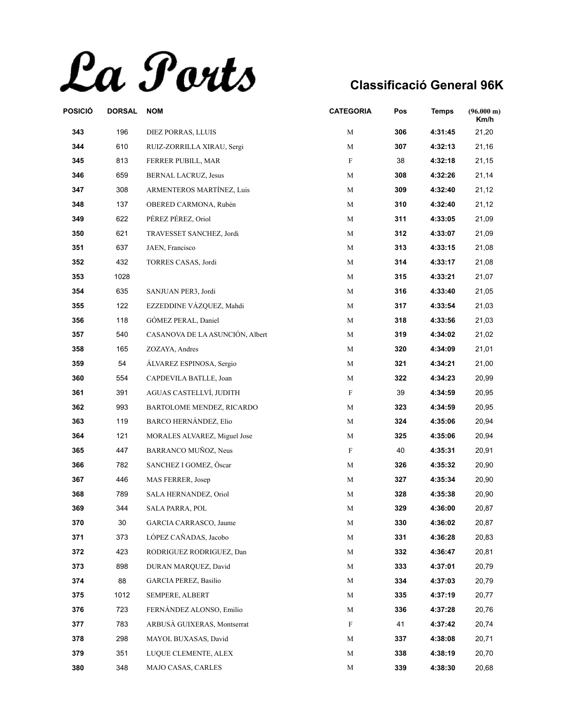La Ports

| POSICIÓ | <b>DORSAL</b> | <b>NOM</b>                      | <b>CATEGORIA</b> | Pos | <b>Temps</b> | $(96.000 \text{ m})$<br>Km/h |
|---------|---------------|---------------------------------|------------------|-----|--------------|------------------------------|
| 343     | 196           | DIEZ PORRAS, LLUIS              | М                | 306 | 4:31:45      | 21,20                        |
| 344     | 610           | RUIZ-ZORRILLA XIRAU, Sergi      | М                | 307 | 4:32:13      | 21,16                        |
| 345     | 813           | FERRER PUBILL, MAR              | F                | 38  | 4:32:18      | 21,15                        |
| 346     | 659           | <b>BERNAL LACRUZ, Jesus</b>     | М                | 308 | 4:32:26      | 21,14                        |
| 347     | 308           | ARMENTEROS MARTÍNEZ, Luis       | M                | 309 | 4:32:40      | 21,12                        |
| 348     | 137           | OBERED CARMONA, Rubén           | M                | 310 | 4:32:40      | 21,12                        |
| 349     | 622           | PÉREZ PÉREZ, Oriol              | М                | 311 | 4:33:05      | 21,09                        |
| 350     | 621           | TRAVESSET SANCHEZ, Jordi        | M                | 312 | 4:33:07      | 21,09                        |
| 351     | 637           | JAEN, Francisco                 | M                | 313 | 4:33:15      | 21,08                        |
| 352     | 432           | TORRES CASAS, Jordi             | M                | 314 | 4:33:17      | 21,08                        |
| 353     | 1028          |                                 | М                | 315 | 4:33:21      | 21,07                        |
| 354     | 635           | SANJUAN PER3, Jordi             | M                | 316 | 4:33:40      | 21,05                        |
| 355     | 122           | EZZEDDINE VÁZQUEZ, Mahdi        | M                | 317 | 4:33:54      | 21,03                        |
| 356     | 118           | GÓMEZ PERAL, Daniel             | M                | 318 | 4:33:56      | 21,03                        |
| 357     | 540           | CASANOVA DE LA ASUNCIÓN, Albert | M                | 319 | 4:34:02      | 21,02                        |
| 358     | 165           | ZOZAYA, Andres                  | M                | 320 | 4:34:09      | 21,01                        |
| 359     | 54            | ÁLVAREZ ESPINOSA, Sergio        | M                | 321 | 4:34:21      | 21,00                        |
| 360     | 554           | CAPDEVILA BATLLE, Joan          | M                | 322 | 4:34:23      | 20,99                        |
| 361     | 391           | AGUAS CASTELLVÍ, JUDITH         | F                | 39  | 4:34:59      | 20,95                        |
| 362     | 993           | BARTOLOME MENDEZ, RICARDO       | М                | 323 | 4:34:59      | 20,95                        |
| 363     | 119           | <b>BARCO HERNÁNDEZ, Elio</b>    | M                | 324 | 4:35:06      | 20,94                        |
| 364     | 121           | MORALES ALVAREZ, Miguel Jose    | M                | 325 | 4:35:06      | 20,94                        |
| 365     | 447           | BARRANCO MUÑOZ, Neus            | F                | 40  | 4:35:31      | 20,91                        |
| 366     | 782           | SANCHEZ I GOMEZ, Oscar          | M                | 326 | 4:35:32      | 20,90                        |
| 367     | 446           | MAS FERRER, Josep               | M                | 327 | 4:35:34      | 20,90                        |
| 368     | 789           | SALA HERNANDEZ, Oriol           | M                | 328 | 4:35:38      | 20,90                        |
| 369     | 344           | SALA PARRA, POL                 | М                | 329 | 4:36:00      | 20,87                        |
| 370     | 30            | GARCIA CARRASCO, Jaume          | M                | 330 | 4:36:02      | 20,87                        |
| 371     | 373           | LÓPEZ CAÑADAS, Jacobo           | M                | 331 | 4:36:28      | 20,83                        |
| 372     | 423           | RODRIGUEZ RODRIGUEZ, Dan        | M                | 332 | 4:36:47      | 20,81                        |
| 373     | 898           | DURAN MARQUEZ, David            | М                | 333 | 4:37:01      | 20,79                        |
| 374     | 88            | <b>GARCIA PEREZ, Basilio</b>    | M                | 334 | 4:37:03      | 20,79                        |
| 375     | 1012          | SEMPERE, ALBERT                 | М                | 335 | 4:37:19      | 20,77                        |
| 376     | 723           | FERNÁNDEZ ALONSO, Emilio        | М                | 336 | 4:37:28      | 20,76                        |
| 377     | 783           | ARBUSÀ GUIXERAS, Montserrat     | F                | 41  | 4:37:42      | 20,74                        |
| 378     | 298           | MAYOL BUXASAS, David            | М                | 337 | 4:38:08      | 20,71                        |
| 379     | 351           | LUQUE CLEMENTE, ALEX            | M                | 338 | 4:38:19      | 20,70                        |
| 380     | 348           | MAJO CASAS, CARLES              | М                | 339 | 4:38:30      | 20,68                        |
|         |               |                                 |                  |     |              |                              |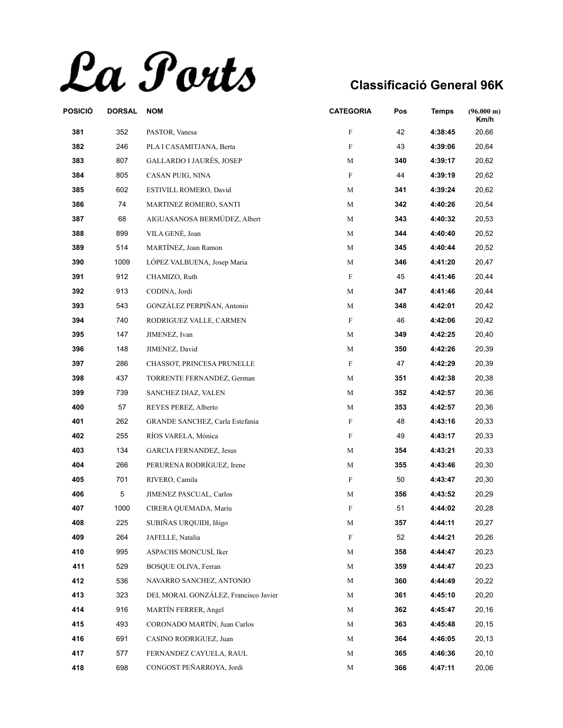La Ports

| POSICIÓ | <b>DORSAL</b> | <b>NOM</b>                           | <b>CATEGORIA</b> | Pos | Temps   | $(96.000 \text{ m})$<br>Km/h |
|---------|---------------|--------------------------------------|------------------|-----|---------|------------------------------|
| 381     | 352           | PASTOR, Vanesa                       | ${\rm F}$        | 42  | 4:38:45 | 20,66                        |
| 382     | 246           | PLA I CASAMITJANA, Berta             | F                | 43  | 4:39:06 | 20,64                        |
| 383     | 807           | <b>GALLARDO I JAURÉS, JOSEP</b>      | M                | 340 | 4:39:17 | 20,62                        |
| 384     | 805           | CASAN PUIG, NINA                     | F                | 44  | 4:39:19 | 20,62                        |
| 385     | 602           | ESTIVILL ROMERO, David               | М                | 341 | 4:39:24 | 20,62                        |
| 386     | 74            | MARTINEZ ROMERO, SANTI               | M                | 342 | 4:40:26 | 20,54                        |
| 387     | 68            | AIGUASANOSA BERMÚDEZ, Albert         | М                | 343 | 4:40:32 | 20,53                        |
| 388     | 899           | VILA GENÉ, Joan                      | М                | 344 | 4:40:40 | 20,52                        |
| 389     | 514           | MARTÍNEZ, Joan Ramon                 | M                | 345 | 4:40:44 | 20,52                        |
| 390     | 1009          | LÓPEZ VALBUENA, Josep Maria          | M                | 346 | 4:41:20 | 20,47                        |
| 391     | 912           | CHAMIZO, Ruth                        | F                | 45  | 4:41:46 | 20,44                        |
| 392     | 913           | CODINA, Jordi                        | M                | 347 | 4:41:46 | 20,44                        |
| 393     | 543           | GONZÁLEZ PERPIÑAN, Antonio           | М                | 348 | 4:42:01 | 20,42                        |
| 394     | 740           | RODRIGUEZ VALLE, CARMEN              | F                | 46  | 4:42:06 | 20,42                        |
| 395     | 147           | JIMENEZ, Ivan                        | M                | 349 | 4:42:25 | 20,40                        |
| 396     | 148           | JIMENEZ, David                       | М                | 350 | 4:42:26 | 20,39                        |
| 397     | 286           | CHASSOT, PRINCESA PRUNELLE           | F                | 47  | 4:42:29 | 20,39                        |
| 398     | 437           | TORRENTE FERNANDEZ, German           | M                | 351 | 4:42:38 | 20,38                        |
| 399     | 739           | SANCHEZ DIAZ, VALEN                  | M                | 352 | 4:42:57 | 20,36                        |
| 400     | 57            | REYES PEREZ, Alberto                 | М                | 353 | 4:42:57 | 20,36                        |
| 401     | 262           | GRANDE SANCHEZ, Carla Estefania      | F                | 48  | 4:43:16 | 20,33                        |
| 402     | 255           | RÍOS VARELA, Mónica                  | F                | 49  | 4:43:17 | 20,33                        |
| 403     | 134           | <b>GARCIA FERNANDEZ, Jesus</b>       | М                | 354 | 4:43:21 | 20,33                        |
| 404     | 266           | PERURENA RODRÍGUEZ, Irene            | М                | 355 | 4:43:46 | 20,30                        |
| 405     | 701           | RIVERO, Camila                       | F                | 50  | 4:43:47 | 20,30                        |
| 406     | $\,$ 5 $\,$   | JIMENEZ PASCUAL, Carlos              | M                | 356 | 4:43:52 | 20,29                        |
| 407     | 1000          | CIRERA QUEMADA, Mariu                | F                | 51  | 4:44:02 | 20,28                        |
| 408     | 225           | SUBIÑAS URQUIDI, Iñigo               | М                | 357 | 4:44:11 | 20,27                        |
| 409     | 264           | JAFELLE, Natalia                     | ${\rm F}$        | 52  | 4:44:21 | 20,26                        |
| 410     | 995           | ASPACHS MONCUSÍ, Iker                | M                | 358 | 4:44:47 | 20,23                        |
| 411     | 529           | BOSQUE OLIVA, Ferran                 | M                | 359 | 4:44:47 | 20,23                        |
| 412     | 536           | NAVARRO SANCHEZ, ANTONIO             | М                | 360 | 4:44:49 | 20,22                        |
| 413     | 323           | DEL MORAL GONZÁLEZ, Francisco Javier | М                | 361 | 4:45:10 | 20,20                        |
| 414     | 916           | MARTÍN FERRER, Angel                 | М                | 362 | 4:45:47 | 20,16                        |
| 415     | 493           | CORONADO MARTÍN, Juan Carlos         | M                | 363 | 4:45:48 | 20,15                        |
| 416     | 691           | CASINO RODRIGUEZ, Juan               | М                | 364 | 4:46:05 | 20,13                        |
| 417     | 577           | FERNANDEZ CAYUELA, RAUL              | M                | 365 | 4:46:36 | 20,10                        |
| 418     | 698           | CONGOST PEÑARROYA, Jordi             | М                | 366 | 4:47:11 | 20,06                        |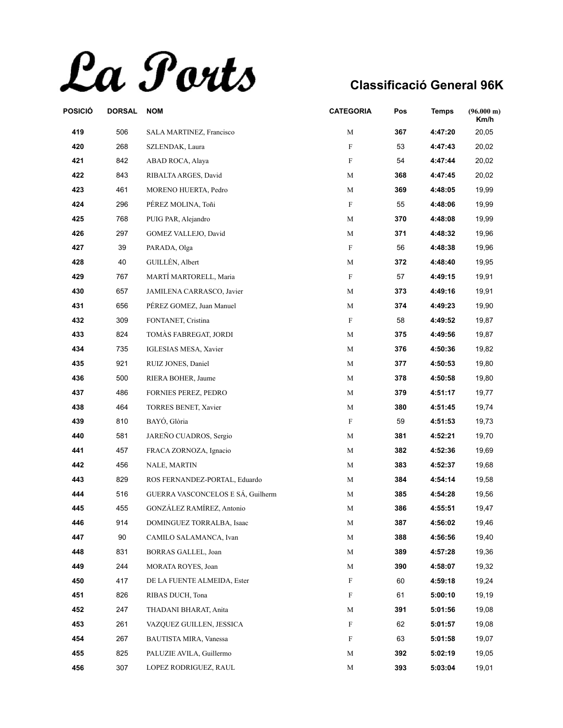La Ports

| POSICIÓ | <b>DORSAL</b> | <b>NOM</b>                        | <b>CATEGORIA</b> | Pos | <b>Temps</b> | $(96.000 \text{ m})$<br>Km/h |
|---------|---------------|-----------------------------------|------------------|-----|--------------|------------------------------|
| 419     | 506           | SALA MARTINEZ, Francisco          | М                | 367 | 4:47:20      | 20,05                        |
| 420     | 268           | SZLENDAK, Laura                   | F                | 53  | 4:47:43      | 20,02                        |
| 421     | 842           | ABAD ROCA, Alaya                  | F                | 54  | 4:47:44      | 20,02                        |
| 422     | 843           | RIBALTA ARGES, David              | М                | 368 | 4:47:45      | 20,02                        |
| 423     | 461           | MORENO HUERTA, Pedro              | M                | 369 | 4:48:05      | 19,99                        |
| 424     | 296           | PÉREZ MOLINA, Toñi                | F                | 55  | 4:48:06      | 19,99                        |
| 425     | 768           | PUIG PAR, Alejandro               | М                | 370 | 4:48:08      | 19,99                        |
| 426     | 297           | GOMEZ VALLEJO, David              | M                | 371 | 4:48:32      | 19,96                        |
| 427     | 39            | PARADA, Olga                      | F                | 56  | 4:48:38      | 19,96                        |
| 428     | 40            | GUILLÉN, Albert                   | M                | 372 | 4:48:40      | 19,95                        |
| 429     | 767           | MARTÍ MARTORELL, Maria            | F                | 57  | 4:49:15      | 19,91                        |
| 430     | 657           | JAMILENA CARRASCO, Javier         | М                | 373 | 4:49:16      | 19,91                        |
| 431     | 656           | PÉREZ GOMEZ, Juan Manuel          | M                | 374 | 4:49:23      | 19,90                        |
| 432     | 309           | FONTANET, Cristina                | F                | 58  | 4:49:52      | 19,87                        |
| 433     | 824           | TOMÀS FABREGAT, JORDI             | M                | 375 | 4:49:56      | 19,87                        |
| 434     | 735           | IGLESIAS MESA, Xavier             | M                | 376 | 4:50:36      | 19,82                        |
| 435     | 921           | RUIZ JONES, Daniel                | M                | 377 | 4:50:53      | 19,80                        |
| 436     | 500           | RIERA BOHER, Jaume                | M                | 378 | 4:50:58      | 19,80                        |
| 437     | 486           | FORNIES PEREZ, PEDRO              | М                | 379 | 4:51:17      | 19,77                        |
| 438     | 464           | TORRES BENET, Xavier              | М                | 380 | 4:51:45      | 19,74                        |
| 439     | 810           | BAYÓ, Glòria                      | F                | 59  | 4:51:53      | 19,73                        |
| 440     | 581           | JAREÑO CUADROS, Sergio            | M                | 381 | 4:52:21      | 19,70                        |
| 441     | 457           | FRACA ZORNOZA, Ignacio            | М                | 382 | 4:52:36      | 19,69                        |
| 442     | 456           | NALE, MARTIN                      | М                | 383 | 4:52:37      | 19,68                        |
| 443     | 829           | ROS FERNANDEZ-PORTAL, Eduardo     | M                | 384 | 4:54:14      | 19,58                        |
| 444     | 516           | GUERRA VASCONCELOS E SÁ, Guilherm | M                | 385 | 4:54:28      | 19,56                        |
| 445     | 455           | GONZÁLEZ RAMÍREZ, Antonio         | М                | 386 | 4:55:51      | 19,47                        |
| 446     | 914           | DOMINGUEZ TORRALBA, Isaac         | M                | 387 | 4:56:02      | 19,46                        |
| 447     | 90            | CAMILO SALAMANCA, Ivan            | M                | 388 | 4:56:56      | 19,40                        |
| 448     | 831           | BORRAS GALLEL, Joan               | М                | 389 | 4:57:28      | 19,36                        |
| 449     | 244           | MORATA ROYES, Joan                | М                | 390 | 4:58:07      | 19,32                        |
| 450     | 417           | DE LA FUENTE ALMEIDA, Ester       | F                | 60  | 4:59:18      | 19,24                        |
| 451     | 826           | RIBAS DUCH, Tona                  | F                | 61  | 5:00:10      | 19,19                        |
| 452     | 247           | THADANI BHARAT, Anita             | M                | 391 | 5:01:56      | 19,08                        |
| 453     | 261           | VAZQUEZ GUILLEN, JESSICA          | F                | 62  | 5:01:57      | 19,08                        |
| 454     | 267           | <b>BAUTISTA MIRA, Vanessa</b>     | F                | 63  | 5:01:58      | 19,07                        |
| 455     | 825           | PALUZIE AVILA, Guillermo          | M                | 392 | 5:02:19      | 19,05                        |
| 456     | 307           | LOPEZ RODRIGUEZ, RAUL             | М                | 393 | 5:03:04      | 19,01                        |
|         |               |                                   |                  |     |              |                              |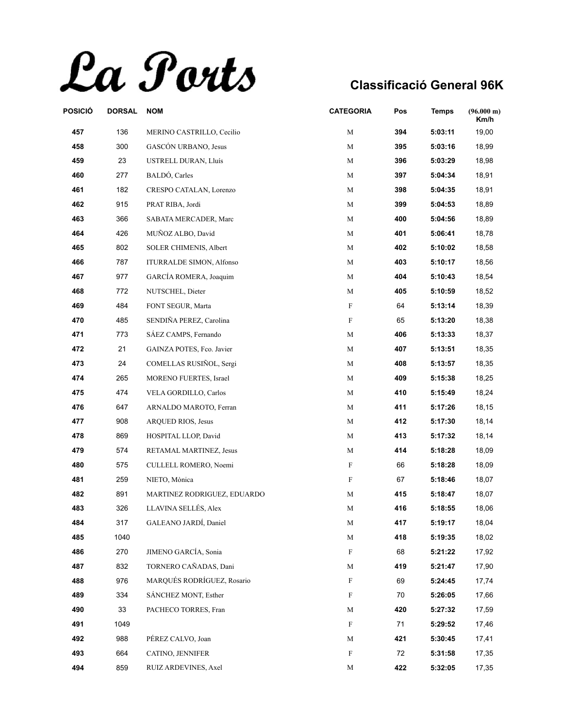La Ports

| POSICIÓ | <b>DORSAL</b> | <b>NOM</b>                      | <b>CATEGORIA</b> | Pos | <b>Temps</b> | (96.000 m)<br>Km/h |
|---------|---------------|---------------------------------|------------------|-----|--------------|--------------------|
| 457     | 136           | MERINO CASTRILLO, Cecilio       | М                | 394 | 5:03:11      | 19,00              |
| 458     | 300           | GASCÓN URBANO, Jesus            | М                | 395 | 5:03:16      | 18,99              |
| 459     | 23            | USTRELL DURAN, Lluís            | М                | 396 | 5:03:29      | 18,98              |
| 460     | 277           | BALDÓ, Carles                   | М                | 397 | 5:04:34      | 18,91              |
| 461     | 182           | CRESPO CATALAN, Lorenzo         | M                | 398 | 5:04:35      | 18,91              |
| 462     | 915           | PRAT RIBA, Jordi                | M                | 399 | 5:04:53      | 18,89              |
| 463     | 366           | SABATA MERCADER, Marc           | М                | 400 | 5:04:56      | 18,89              |
| 464     | 426           | MUÑOZ ALBO, David               | M                | 401 | 5:06:41      | 18,78              |
| 465     | 802           | <b>SOLER CHIMENIS, Albert</b>   | M                | 402 | 5:10:02      | 18,58              |
| 466     | 787           | <b>ITURRALDE SIMON, Alfonso</b> | М                | 403 | 5:10:17      | 18,56              |
| 467     | 977           | GARCÍA ROMERA, Joaquim          | M                | 404 | 5:10:43      | 18,54              |
| 468     | 772           | NUTSCHEL, Dieter                | M                | 405 | 5:10:59      | 18,52              |
| 469     | 484           | FONT SEGUR, Marta               | $\mathbf F$      | 64  | 5:13:14      | 18,39              |
| 470     | 485           | SENDIÑA PEREZ, Carolina         | F                | 65  | 5:13:20      | 18,38              |
| 471     | 773           | SÁEZ CAMPS, Fernando            | M                | 406 | 5:13:33      | 18,37              |
| 472     | 21            | GAINZA POTES, Fco. Javier       | M                | 407 | 5:13:51      | 18,35              |
| 473     | 24            | COMELLAS RUSIÑOL, Sergi         | M                | 408 | 5:13:57      | 18,35              |
| 474     | 265           | <b>MORENO FUERTES, Israel</b>   | M                | 409 | 5:15:38      | 18,25              |
| 475     | 474           | VELA GORDILLO, Carlos           | M                | 410 | 5:15:49      | 18,24              |
| 476     | 647           | ARNALDO MAROTO, Ferran          | M                | 411 | 5:17:26      | 18,15              |
| 477     | 908           | ARQUED RIOS, Jesus              | M                | 412 | 5:17:30      | 18,14              |
| 478     | 869           | HOSPITAL LLOP, David            | M                | 413 | 5:17:32      | 18,14              |
| 479     | 574           | RETAMAL MARTINEZ, Jesus         | М                | 414 | 5:18:28      | 18,09              |
| 480     | 575           | CULLELL ROMERO, Noemi           | F                | 66  | 5:18:28      | 18,09              |
| 481     | 259           | NIETO, Mònica                   | F                | 67  | 5:18:46      | 18,07              |
| 482     | 891           | MARTINEZ RODRIGUEZ, EDUARDO     | M                | 415 | 5:18:47      | 18,07              |
| 483     | 326           | LLAVINA SELLÉS, Alex            | M                | 416 | 5:18:55      | 18,06              |
| 484     | 317           | GALEANO JARDI, Daniel           | M                | 417 | 5:19:17      | 18,04              |
| 485     | 1040          |                                 | M                | 418 | 5:19:35      | 18,02              |
| 486     | 270           | JIMENO GARCÍA, Sonia            | F                | 68  | 5:21:22      | 17,92              |
| 487     | 832           | TORNERO CAÑADAS, Dani           | М                | 419 | 5:21:47      | 17,90              |
| 488     | 976           | MARQUÉS RODRÍGUEZ, Rosario      | F                | 69  | 5:24:45      | 17,74              |
| 489     | 334           | SÁNCHEZ MONT, Esther            | F                | 70  | 5:26:05      | 17,66              |
| 490     | 33            | PACHECO TORRES, Fran            | М                | 420 | 5:27:32      | 17,59              |
| 491     | 1049          |                                 | F                | 71  | 5:29:52      | 17,46              |
| 492     | 988           | PÉREZ CALVO, Joan               | М                | 421 | 5:30:45      | 17,41              |
| 493     | 664           | CATINO, JENNIFER                | F                | 72  | 5:31:58      | 17,35              |
| 494     | 859           | RUIZ ARDEVINES, Axel            | M                | 422 | 5:32:05      | 17,35              |
|         |               |                                 |                  |     |              |                    |